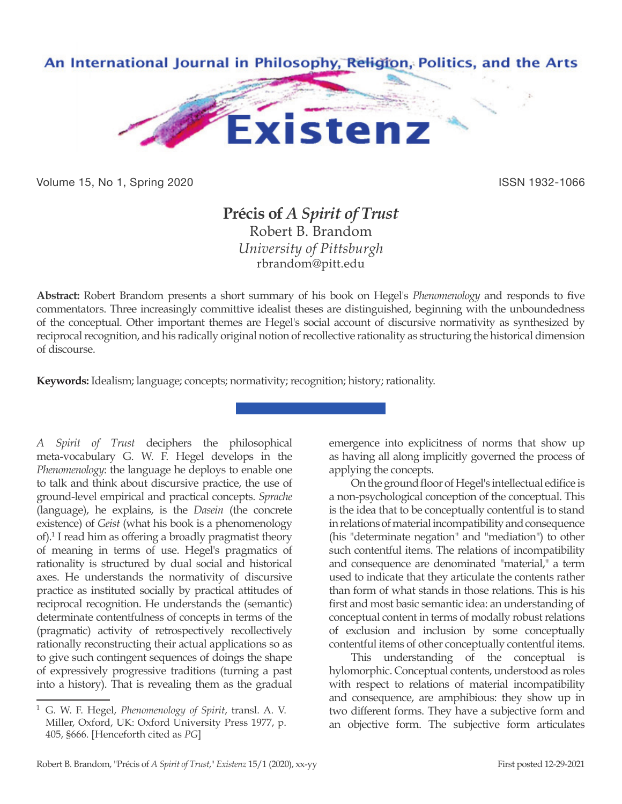

Volume 15, No 1, Spring 2020 **ISSN 1932-1066** ISSN 1932-1066

# **Précis of** *A Spirit of Trust* Robert B. Brandom *University of Pittsburgh* rbrandom@pitt.edu

**Abstract:** Robert Brandom presents a short summary of his book on Hegel's *Phenomenology* and responds to five commentators. Three increasingly committive idealist theses are distinguished, beginning with the unboundedness of the conceptual. Other important themes are Hegel's social account of discursive normativity as synthesized by reciprocal recognition, and his radically original notion of recollective rationality as structuring the historical dimension of discourse.

**Keywords:** Idealism; language; concepts; normativity; recognition; history; rationality.

*A Spirit of Trust* deciphers the philosophical meta-vocabulary G. W. F. Hegel develops in the *Phenomenology*: the language he deploys to enable one to talk and think about discursive practice, the use of ground-level empirical and practical concepts. *Sprache*  (language), he explains, is the *Dasein* (the concrete existence) of *Geist* (what his book is a phenomenology of).1 I read him as offering a broadly pragmatist theory of meaning in terms of use. Hegel's pragmatics of rationality is structured by dual social and historical axes. He understands the normativity of discursive practice as instituted socially by practical attitudes of reciprocal recognition. He understands the (semantic) determinate contentfulness of concepts in terms of the (pragmatic) activity of retrospectively recollectively rationally reconstructing their actual applications so as to give such contingent sequences of doings the shape of expressively progressive traditions (turning a past into a history). That is revealing them as the gradual

emergence into explicitness of norms that show up as having all along implicitly governed the process of applying the concepts.

On the ground floor of Hegel's intellectual edifice is a non-psychological conception of the conceptual. This is the idea that to be conceptually contentful is to stand in relations of material incompatibility and consequence (his "determinate negation" and "mediation") to other such contentful items. The relations of incompatibility and consequence are denominated "material," a term used to indicate that they articulate the contents rather than form of what stands in those relations. This is his first and most basic semantic idea: an understanding of conceptual content in terms of modally robust relations of exclusion and inclusion by some conceptually contentful items of other conceptually contentful items.

This understanding of the conceptual is hylomorphic. Conceptual contents, understood as roles with respect to relations of material incompatibility and consequence, are amphibious: they show up in two different forms. They have a subjective form and an objective form. The subjective form articulates

<sup>1</sup> G. W. F. Hegel, *Phenomenology of Spirit*, transl. A. V. Miller, Oxford, UK: Oxford University Press 1977, p. 405, §666. [Henceforth cited as *PG*]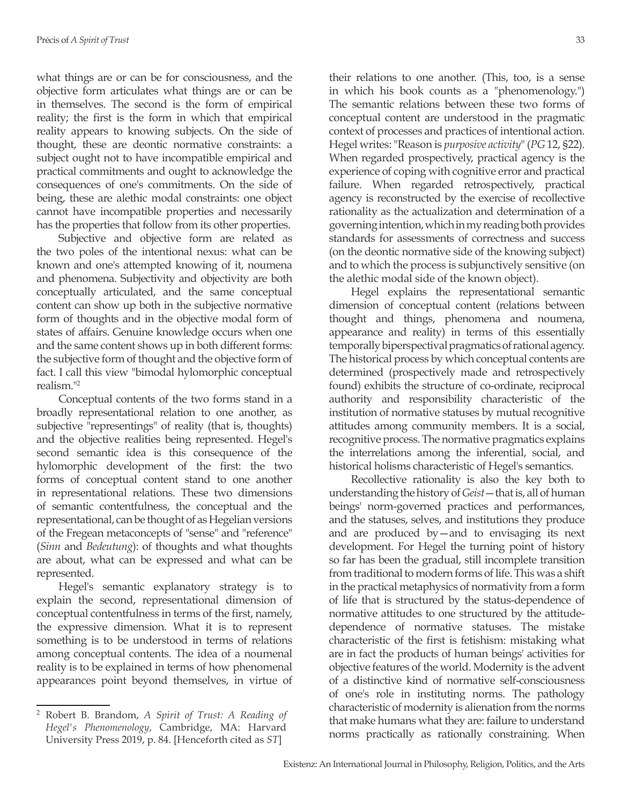what things are or can be for consciousness, and the objective form articulates what things are or can be in themselves. The second is the form of empirical reality; the first is the form in which that empirical reality appears to knowing subjects. On the side of thought, these are deontic normative constraints: a subject ought not to have incompatible empirical and practical commitments and ought to acknowledge the consequences of one's commitments. On the side of being, these are alethic modal constraints: one object cannot have incompatible properties and necessarily has the properties that follow from its other properties.

Subjective and objective form are related as the two poles of the intentional nexus: what can be known and one's attempted knowing of it, noumena and phenomena. Subjectivity and objectivity are both conceptually articulated, and the same conceptual content can show up both in the subjective normative form of thoughts and in the objective modal form of states of affairs. Genuine knowledge occurs when one and the same content shows up in both different forms: the subjective form of thought and the objective form of fact. I call this view "bimodal hylomorphic conceptual realism."2

Conceptual contents of the two forms stand in a broadly representational relation to one another, as subjective "representings" of reality (that is, thoughts) and the objective realities being represented. Hegel's second semantic idea is this consequence of the hylomorphic development of the first: the two forms of conceptual content stand to one another in representational relations. These two dimensions of semantic contentfulness, the conceptual and the representational, can be thought of as Hegelian versions of the Fregean metaconcepts of "sense" and "reference" (*Sinn* and *Bedeutung*): of thoughts and what thoughts are about, what can be expressed and what can be represented.

Hegel's semantic explanatory strategy is to explain the second, representational dimension of conceptual contentfulness in terms of the first, namely, the expressive dimension. What it is to represent something is to be understood in terms of relations among conceptual contents. The idea of a noumenal reality is to be explained in terms of how phenomenal appearances point beyond themselves, in virtue of

their relations to one another. (This, too, is a sense in which his book counts as a "phenomenology.") The semantic relations between these two forms of conceptual content are understood in the pragmatic context of processes and practices of intentional action. Hegel writes: "Reason is *purposive activity*" (*PG* 12, §22). When regarded prospectively, practical agency is the experience of coping with cognitive error and practical failure. When regarded retrospectively, practical agency is reconstructed by the exercise of recollective rationality as the actualization and determination of a governing intention, which in my reading both provides standards for assessments of correctness and success (on the deontic normative side of the knowing subject) and to which the process is subjunctively sensitive (on the alethic modal side of the known object).

Hegel explains the representational semantic dimension of conceptual content (relations between thought and things, phenomena and noumena, appearance and reality) in terms of this essentially temporally biperspectival pragmatics of rational agency. The historical process by which conceptual contents are determined (prospectively made and retrospectively found) exhibits the structure of co-ordinate, reciprocal authority and responsibility characteristic of the institution of normative statuses by mutual recognitive attitudes among community members. It is a social, recognitive process. The normative pragmatics explains the interrelations among the inferential, social, and historical holisms characteristic of Hegel's semantics.

Recollective rationality is also the key both to understanding the history of *Geist*—that is, all of human beings' norm-governed practices and performances, and the statuses, selves, and institutions they produce and are produced by—and to envisaging its next development. For Hegel the turning point of history so far has been the gradual, still incomplete transition from traditional to modern forms of life. This was a shift in the practical metaphysics of normativity from a form of life that is structured by the status-dependence of normative attitudes to one structured by the attitudedependence of normative statuses. The mistake characteristic of the first is fetishism: mistaking what are in fact the products of human beings' activities for objective features of the world. Modernity is the advent of a distinctive kind of normative self-consciousness of one's role in instituting norms. The pathology characteristic of modernity is alienation from the norms that make humans what they are: failure to understand norms practically as rationally constraining. When

<sup>2</sup> Robert B. Brandom, *A Spirit of Trust: A Reading of Hegel's Phenomenology*, Cambridge, MA: Harvard University Press 2019, p. 84. [Henceforth cited as *ST*]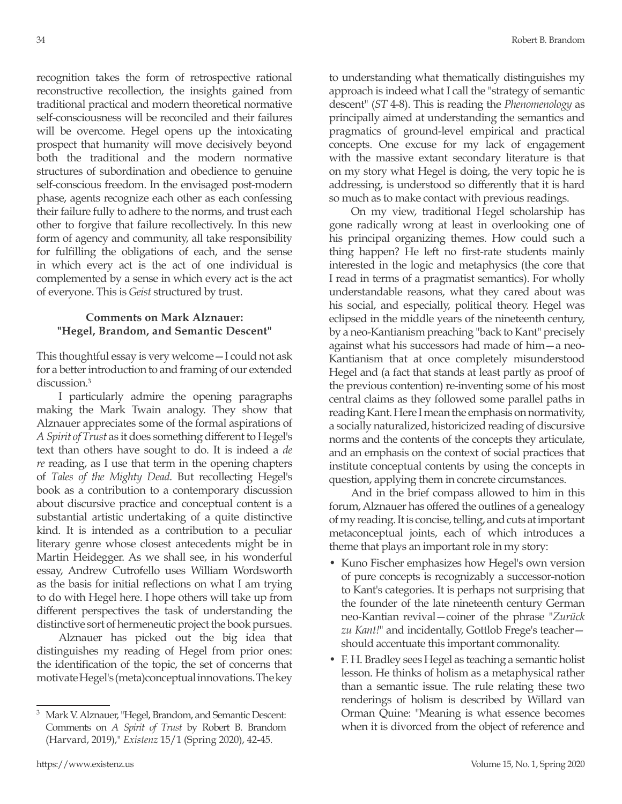recognition takes the form of retrospective rational reconstructive recollection, the insights gained from traditional practical and modern theoretical normative self-consciousness will be reconciled and their failures will be overcome. Hegel opens up the intoxicating prospect that humanity will move decisively beyond both the traditional and the modern normative structures of subordination and obedience to genuine self-conscious freedom. In the envisaged post-modern phase, agents recognize each other as each confessing their failure fully to adhere to the norms, and trust each other to forgive that failure recollectively. In this new form of agency and community, all take responsibility for fulfilling the obligations of each, and the sense in which every act is the act of one individual is complemented by a sense in which every act is the act of everyone. This is *Geist* structured by trust.

#### **Comments on Mark Alznauer: "Hegel, Brandom, and Semantic Descent"**

This thoughtful essay is very welcome—I could not ask for a better introduction to and framing of our extended discussion.<sup>3</sup>

I particularly admire the opening paragraphs making the Mark Twain analogy. They show that Alznauer appreciates some of the formal aspirations of *A Spirit of Trust* as it does something different to Hegel's text than others have sought to do. It is indeed a *de re* reading, as I use that term in the opening chapters of *Tales of the Mighty Dead*. But recollecting Hegel's book as a contribution to a contemporary discussion about discursive practice and conceptual content is a substantial artistic undertaking of a quite distinctive kind. It is intended as a contribution to a peculiar literary genre whose closest antecedents might be in Martin Heidegger. As we shall see, in his wonderful essay, Andrew Cutrofello uses William Wordsworth as the basis for initial reflections on what I am trying to do with Hegel here. I hope others will take up from different perspectives the task of understanding the distinctive sort of hermeneutic project the book pursues.

Alznauer has picked out the big idea that distinguishes my reading of Hegel from prior ones: the identification of the topic, the set of concerns that motivate Hegel's (meta)conceptual innovations. The key to understanding what thematically distinguishes my approach is indeed what I call the "strategy of semantic descent" (*ST* 4-8). This is reading the *Phenomenology* as principally aimed at understanding the semantics and pragmatics of ground-level empirical and practical concepts. One excuse for my lack of engagement with the massive extant secondary literature is that on my story what Hegel is doing, the very topic he is addressing, is understood so differently that it is hard so much as to make contact with previous readings.

On my view, traditional Hegel scholarship has gone radically wrong at least in overlooking one of his principal organizing themes. How could such a thing happen? He left no first-rate students mainly interested in the logic and metaphysics (the core that I read in terms of a pragmatist semantics). For wholly understandable reasons, what they cared about was his social, and especially, political theory. Hegel was eclipsed in the middle years of the nineteenth century, by a neo-Kantianism preaching "back to Kant" precisely against what his successors had made of him—a neo-Kantianism that at once completely misunderstood Hegel and (a fact that stands at least partly as proof of the previous contention) re-inventing some of his most central claims as they followed some parallel paths in reading Kant. Here I mean the emphasis on normativity, a socially naturalized, historicized reading of discursive norms and the contents of the concepts they articulate, and an emphasis on the context of social practices that institute conceptual contents by using the concepts in question, applying them in concrete circumstances.

And in the brief compass allowed to him in this forum, Alznauer has offered the outlines of a genealogy of my reading. It is concise, telling, and cuts at important metaconceptual joints, each of which introduces a theme that plays an important role in my story:

- Kuno Fischer emphasizes how Hegel's own version of pure concepts is recognizably a successor-notion to Kant's categories. It is perhaps not surprising that the founder of the late nineteenth century German neo-Kantian revival—coiner of the phrase "*Zurück zu Kant!*" and incidentally, Gottlob Frege's teacher should accentuate this important commonality.
- F. H. Bradley sees Hegel as teaching a semantic holist lesson. He thinks of holism as a metaphysical rather than a semantic issue. The rule relating these two renderings of holism is described by Willard van Orman Quine: "Meaning is what essence becomes when it is divorced from the object of reference and

<sup>3</sup> Mark V. Alznauer, "Hegel, Brandom, and Semantic Descent: Comments on *A Spirit of Trust* by Robert B. Brandom (Harvard, 2019)," *Existenz* 15/1 (Spring 2020), 42-45.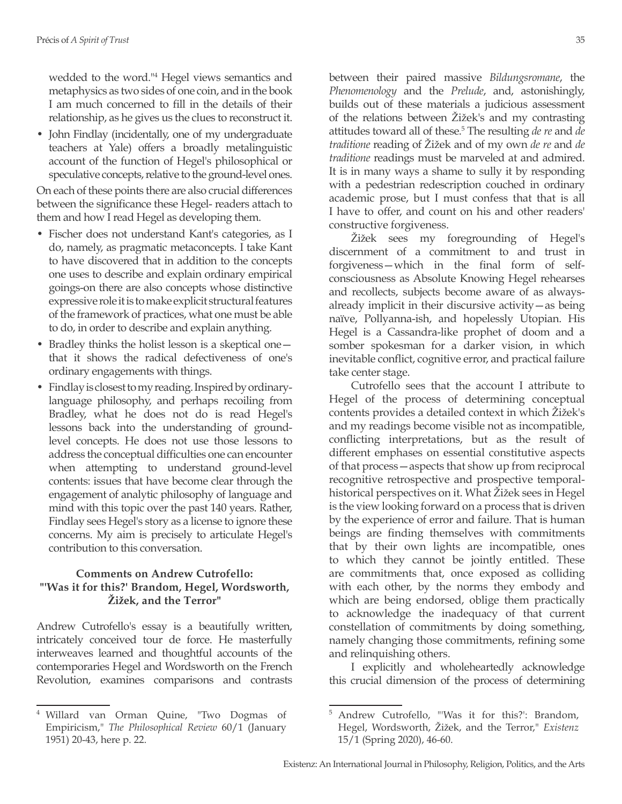wedded to the word."<sup>4</sup> Hegel views semantics and metaphysics as two sides of one coin, and in the book I am much concerned to fill in the details of their relationship, as he gives us the clues to reconstruct it.

• John Findlay (incidentally, one of my undergraduate teachers at Yale) offers a broadly metalinguistic account of the function of Hegel's philosophical or speculative concepts, relative to the ground-level ones.

On each of these points there are also crucial differences between the significance these Hegel- readers attach to them and how I read Hegel as developing them.

- Fischer does not understand Kant's categories, as I do, namely, as pragmatic metaconcepts. I take Kant to have discovered that in addition to the concepts one uses to describe and explain ordinary empirical goings-on there are also concepts whose distinctive expressive role it is to make explicit structural features of the framework of practices, what one must be able to do, in order to describe and explain anything.
- Bradley thinks the holist lesson is a skeptical one that it shows the radical defectiveness of one's ordinary engagements with things.
- Findlay is closest to my reading. Inspired by ordinarylanguage philosophy, and perhaps recoiling from Bradley, what he does not do is read Hegel's lessons back into the understanding of groundlevel concepts. He does not use those lessons to address the conceptual difficulties one can encounter when attempting to understand ground-level contents: issues that have become clear through the engagement of analytic philosophy of language and mind with this topic over the past 140 years. Rather, Findlay sees Hegel's story as a license to ignore these concerns. My aim is precisely to articulate Hegel's contribution to this conversation.

## **Comments on Andrew Cutrofello: "'Was it for this?' Brandom, Hegel, Wordsworth, Žižek, and the Terror"**

Andrew Cutrofello's essay is a beautifully written, intricately conceived tour de force. He masterfully interweaves learned and thoughtful accounts of the contemporaries Hegel and Wordsworth on the French Revolution, examines comparisons and contrasts

between their paired massive *Bildungsromane*, the *Phenomenology* and the *Prelude*, and, astonishingly, builds out of these materials a judicious assessment of the relations between Žižek's and my contrasting attitudes toward all of these.<sup>5</sup> The resulting *de re* and *de traditione* reading of Žižek and of my own *de re* and *de traditione* readings must be marveled at and admired. It is in many ways a shame to sully it by responding with a pedestrian redescription couched in ordinary academic prose, but I must confess that that is all I have to offer, and count on his and other readers' constructive forgiveness.

Žižek sees my foregrounding of Hegel's discernment of a commitment to and trust in forgiveness—which in the final form of selfconsciousness as Absolute Knowing Hegel rehearses and recollects, subjects become aware of as alwaysalready implicit in their discursive activity—as being naïve, Pollyanna-ish, and hopelessly Utopian. His Hegel is a Cassandra-like prophet of doom and a somber spokesman for a darker vision, in which inevitable conflict, cognitive error, and practical failure take center stage.

Cutrofello sees that the account I attribute to Hegel of the process of determining conceptual contents provides a detailed context in which Žižek's and my readings become visible not as incompatible, conflicting interpretations, but as the result of different emphases on essential constitutive aspects of that process—aspects that show up from reciprocal recognitive retrospective and prospective temporalhistorical perspectives on it. What Žižek sees in Hegel is the view looking forward on a process that is driven by the experience of error and failure. That is human beings are finding themselves with commitments that by their own lights are incompatible, ones to which they cannot be jointly entitled. These are commitments that, once exposed as colliding with each other, by the norms they embody and which are being endorsed, oblige them practically to acknowledge the inadequacy of that current constellation of commitments by doing something, namely changing those commitments, refining some and relinquishing others.

I explicitly and wholeheartedly acknowledge this crucial dimension of the process of determining

<sup>4</sup> Willard van Orman Quine, "Two Dogmas of Empiricism," *The Philosophical Review* 60/1 (January 1951) 20-43, here p. 22.

<sup>5</sup> Andrew Cutrofello, "'Was it for this?': Brandom, Hegel, Wordsworth, Žižek, and the Terror," *Existenz* 15/1 (Spring 2020), 46-60.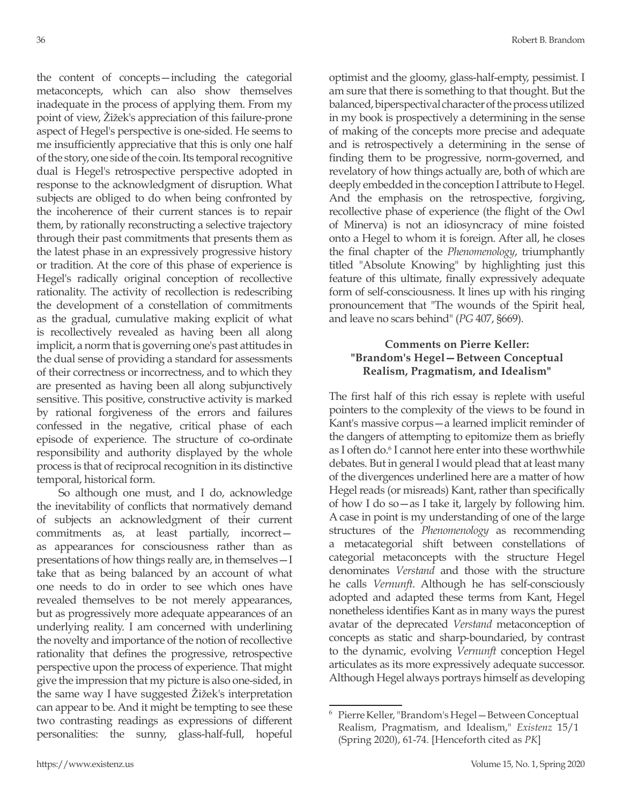the content of concepts—including the categorial metaconcepts, which can also show themselves inadequate in the process of applying them. From my point of view, Žižek's appreciation of this failure-prone aspect of Hegel's perspective is one-sided. He seems to me insufficiently appreciative that this is only one half of the story, one side of the coin. Its temporal recognitive dual is Hegel's retrospective perspective adopted in response to the acknowledgment of disruption. What subjects are obliged to do when being confronted by the incoherence of their current stances is to repair them, by rationally reconstructing a selective trajectory through their past commitments that presents them as the latest phase in an expressively progressive history or tradition. At the core of this phase of experience is Hegel's radically original conception of recollective rationality. The activity of recollection is redescribing the development of a constellation of commitments as the gradual, cumulative making explicit of what is recollectively revealed as having been all along implicit, a norm that is governing one's past attitudes in the dual sense of providing a standard for assessments of their correctness or incorrectness, and to which they are presented as having been all along subjunctively sensitive. This positive, constructive activity is marked by rational forgiveness of the errors and failures confessed in the negative, critical phase of each episode of experience. The structure of co-ordinate responsibility and authority displayed by the whole process is that of reciprocal recognition in its distinctive temporal, historical form.

So although one must, and I do, acknowledge the inevitability of conflicts that normatively demand of subjects an acknowledgment of their current commitments as, at least partially, incorrect as appearances for consciousness rather than as presentations of how things really are, in themselves—I take that as being balanced by an account of what one needs to do in order to see which ones have revealed themselves to be not merely appearances, but as progressively more adequate appearances of an underlying reality. I am concerned with underlining the novelty and importance of the notion of recollective rationality that defines the progressive, retrospective perspective upon the process of experience. That might give the impression that my picture is also one-sided, in the same way I have suggested Žižek's interpretation can appear to be. And it might be tempting to see these two contrasting readings as expressions of different personalities: the sunny, glass-half-full, hopeful optimist and the gloomy, glass-half-empty, pessimist. I am sure that there is something to that thought. But the balanced, biperspectival character of the process utilized in my book is prospectively a determining in the sense of making of the concepts more precise and adequate and is retrospectively a determining in the sense of finding them to be progressive, norm-governed, and revelatory of how things actually are, both of which are deeply embedded in the conception I attribute to Hegel. And the emphasis on the retrospective, forgiving, recollective phase of experience (the flight of the Owl of Minerva) is not an idiosyncracy of mine foisted onto a Hegel to whom it is foreign. After all, he closes the final chapter of the *Phenomenology*, triumphantly titled "Absolute Knowing" by highlighting just this feature of this ultimate, finally expressively adequate form of self-consciousness. It lines up with his ringing pronouncement that "The wounds of the Spirit heal, and leave no scars behind" (*PG* 407, §669).

## **Comments on Pierre Keller: "Brandom's Hegel—Between Conceptual Realism, Pragmatism, and Idealism"**

The first half of this rich essay is replete with useful pointers to the complexity of the views to be found in Kant's massive corpus—a learned implicit reminder of the dangers of attempting to epitomize them as briefly as I often do.<sup>6</sup> I cannot here enter into these worthwhile debates. But in general I would plead that at least many of the divergences underlined here are a matter of how Hegel reads (or misreads) Kant, rather than specifically of how I do so—as I take it, largely by following him. A case in point is my understanding of one of the large structures of the *Phenomenology* as recommending a metacategorial shift between constellations of categorial metaconcepts with the structure Hegel denominates *Verstand* and those with the structure he calls *Vernunft*. Although he has self-consciously adopted and adapted these terms from Kant, Hegel nonetheless identifies Kant as in many ways the purest avatar of the deprecated *Verstand* metaconception of concepts as static and sharp-boundaried, by contrast to the dynamic, evolving *Vernunft* conception Hegel articulates as its more expressively adequate successor. Although Hegel always portrays himself as developing

<sup>6</sup> Pierre Keller, "Brandom's Hegel—Between Conceptual Realism, Pragmatism, and Idealism," *Existenz* 15/1 (Spring 2020), 61-74. [Henceforth cited as *PK*]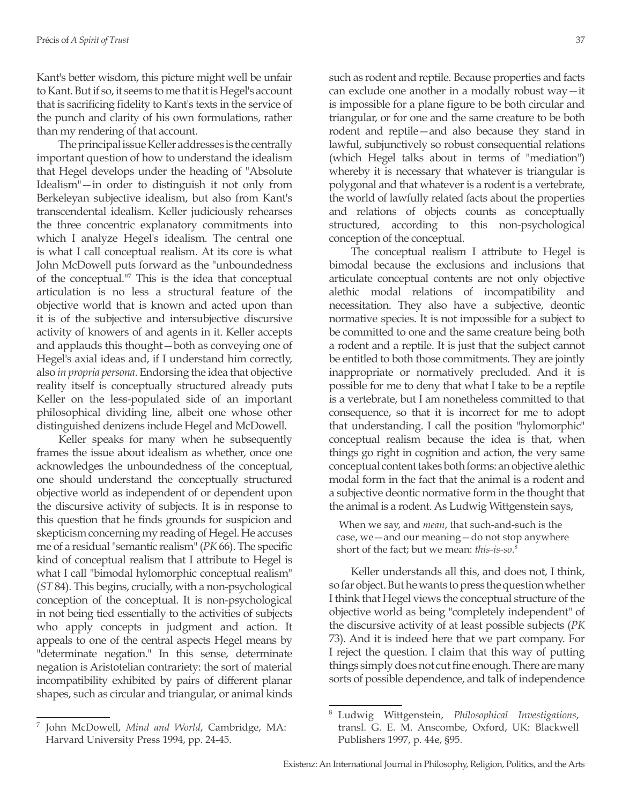Kant's better wisdom, this picture might well be unfair to Kant. But if so, it seems to me that it is Hegel's account that is sacrificing fidelity to Kant's texts in the service of the punch and clarity of his own formulations, rather than my rendering of that account.

The principal issue Keller addresses is the centrally important question of how to understand the idealism that Hegel develops under the heading of "Absolute Idealism"—in order to distinguish it not only from Berkeleyan subjective idealism, but also from Kant's transcendental idealism. Keller judiciously rehearses the three concentric explanatory commitments into which I analyze Hegel's idealism. The central one is what I call conceptual realism. At its core is what John McDowell puts forward as the "unboundedness of the conceptual."<sup>7</sup> This is the idea that conceptual articulation is no less a structural feature of the objective world that is known and acted upon than it is of the subjective and intersubjective discursive activity of knowers of and agents in it. Keller accepts and applauds this thought—both as conveying one of Hegel's axial ideas and, if I understand him correctly, also *in propria persona*. Endorsing the idea that objective reality itself is conceptually structured already puts Keller on the less-populated side of an important philosophical dividing line, albeit one whose other distinguished denizens include Hegel and McDowell.

Keller speaks for many when he subsequently frames the issue about idealism as whether, once one acknowledges the unboundedness of the conceptual, one should understand the conceptually structured objective world as independent of or dependent upon the discursive activity of subjects. It is in response to this question that he finds grounds for suspicion and skepticism concerning my reading of Hegel. He accuses me of a residual "semantic realism" (*PK* 66). The specific kind of conceptual realism that I attribute to Hegel is what I call "bimodal hylomorphic conceptual realism" (*ST* 84). This begins, crucially, with a non-psychological conception of the conceptual. It is non-psychological in not being tied essentially to the activities of subjects who apply concepts in judgment and action. It appeals to one of the central aspects Hegel means by "determinate negation." In this sense, determinate negation is Aristotelian contrariety: the sort of material incompatibility exhibited by pairs of different planar shapes, such as circular and triangular, or animal kinds

such as rodent and reptile. Because properties and facts can exclude one another in a modally robust way—it is impossible for a plane figure to be both circular and triangular, or for one and the same creature to be both rodent and reptile—and also because they stand in lawful, subjunctively so robust consequential relations (which Hegel talks about in terms of "mediation") whereby it is necessary that whatever is triangular is polygonal and that whatever is a rodent is a vertebrate, the world of lawfully related facts about the properties and relations of objects counts as conceptually structured, according to this non-psychological conception of the conceptual.

The conceptual realism I attribute to Hegel is bimodal because the exclusions and inclusions that articulate conceptual contents are not only objective alethic modal relations of incompatibility and necessitation. They also have a subjective, deontic normative species. It is not impossible for a subject to be committed to one and the same creature being both a rodent and a reptile. It is just that the subject cannot be entitled to both those commitments. They are jointly inappropriate or normatively precluded. And it is possible for me to deny that what I take to be a reptile is a vertebrate, but I am nonetheless committed to that consequence, so that it is incorrect for me to adopt that understanding. I call the position "hylomorphic" conceptual realism because the idea is that, when things go right in cognition and action, the very same conceptual content takes both forms: an objective alethic modal form in the fact that the animal is a rodent and a subjective deontic normative form in the thought that the animal is a rodent. As Ludwig Wittgenstein says,

 When we say, and *mean*, that such-and-such is the case, we—and our meaning—do not stop anywhere short of the fact; but we mean: *this-is-so*. 8

Keller understands all this, and does not, I think, so far object. But he wants to press the question whether I think that Hegel views the conceptual structure of the objective world as being "completely independent" of the discursive activity of at least possible subjects (*PK* 73). And it is indeed here that we part company. For I reject the question. I claim that this way of putting things simply does not cut fine enough. There are many sorts of possible dependence, and talk of independence

<sup>7</sup> John McDowell, *Mind and World*, Cambridge, MA: Harvard University Press 1994, pp. 24-45.

<sup>8</sup> Ludwig Wittgenstein, *Philosophical Investigations*, transl. G. E. M. Anscombe, Oxford, UK: Blackwell Publishers 1997, p. 44e, §95.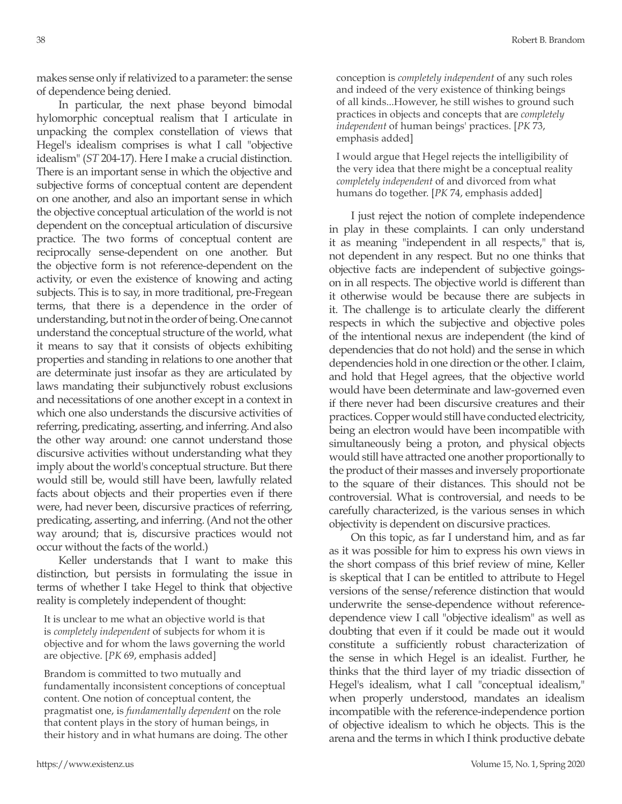makes sense only if relativized to a parameter: the sense of dependence being denied.

In particular, the next phase beyond bimodal hylomorphic conceptual realism that I articulate in unpacking the complex constellation of views that Hegel's idealism comprises is what I call "objective idealism" (*ST* 204-17). Here I make a crucial distinction. There is an important sense in which the objective and subjective forms of conceptual content are dependent on one another, and also an important sense in which the objective conceptual articulation of the world is not dependent on the conceptual articulation of discursive practice. The two forms of conceptual content are reciprocally sense-dependent on one another. But the objective form is not reference-dependent on the activity, or even the existence of knowing and acting subjects. This is to say, in more traditional, pre-Fregean terms, that there is a dependence in the order of understanding, but not in the order of being. One cannot understand the conceptual structure of the world, what it means to say that it consists of objects exhibiting properties and standing in relations to one another that are determinate just insofar as they are articulated by laws mandating their subjunctively robust exclusions and necessitations of one another except in a context in which one also understands the discursive activities of referring, predicating, asserting, and inferring. And also the other way around: one cannot understand those discursive activities without understanding what they imply about the world's conceptual structure. But there would still be, would still have been, lawfully related facts about objects and their properties even if there were, had never been, discursive practices of referring, predicating, asserting, and inferring. (And not the other way around; that is, discursive practices would not occur without the facts of the world.)

Keller understands that I want to make this distinction, but persists in formulating the issue in terms of whether I take Hegel to think that objective reality is completely independent of thought:

It is unclear to me what an objective world is that is *completely independent* of subjects for whom it is objective and for whom the laws governing the world are objective. [*PK* 69, emphasis added]

Brandom is committed to two mutually and fundamentally inconsistent conceptions of conceptual content. One notion of conceptual content, the pragmatist one, is *fundamentally dependent* on the role that content plays in the story of human beings, in their history and in what humans are doing. The other conception is *completely independent* of any such roles and indeed of the very existence of thinking beings of all kinds...However, he still wishes to ground such practices in objects and concepts that are *completely independent* of human beings' practices. [*PK* 73, emphasis added]

I would argue that Hegel rejects the intelligibility of the very idea that there might be a conceptual reality *completely independent* of and divorced from what humans do together. [*PK* 74, emphasis added]

I just reject the notion of complete independence in play in these complaints. I can only understand it as meaning "independent in all respects," that is, not dependent in any respect. But no one thinks that objective facts are independent of subjective goingson in all respects. The objective world is different than it otherwise would be because there are subjects in it. The challenge is to articulate clearly the different respects in which the subjective and objective poles of the intentional nexus are independent (the kind of dependencies that do not hold) and the sense in which dependencies hold in one direction or the other. I claim, and hold that Hegel agrees, that the objective world would have been determinate and law-governed even if there never had been discursive creatures and their practices. Copper would still have conducted electricity, being an electron would have been incompatible with simultaneously being a proton, and physical objects would still have attracted one another proportionally to the product of their masses and inversely proportionate to the square of their distances. This should not be controversial. What is controversial, and needs to be carefully characterized, is the various senses in which objectivity is dependent on discursive practices.

On this topic, as far I understand him, and as far as it was possible for him to express his own views in the short compass of this brief review of mine, Keller is skeptical that I can be entitled to attribute to Hegel versions of the sense/reference distinction that would underwrite the sense-dependence without referencedependence view I call "objective idealism" as well as doubting that even if it could be made out it would constitute a sufficiently robust characterization of the sense in which Hegel is an idealist. Further, he thinks that the third layer of my triadic dissection of Hegel's idealism, what I call "conceptual idealism," when properly understood, mandates an idealism incompatible with the reference-independence portion of objective idealism to which he objects. This is the arena and the terms in which I think productive debate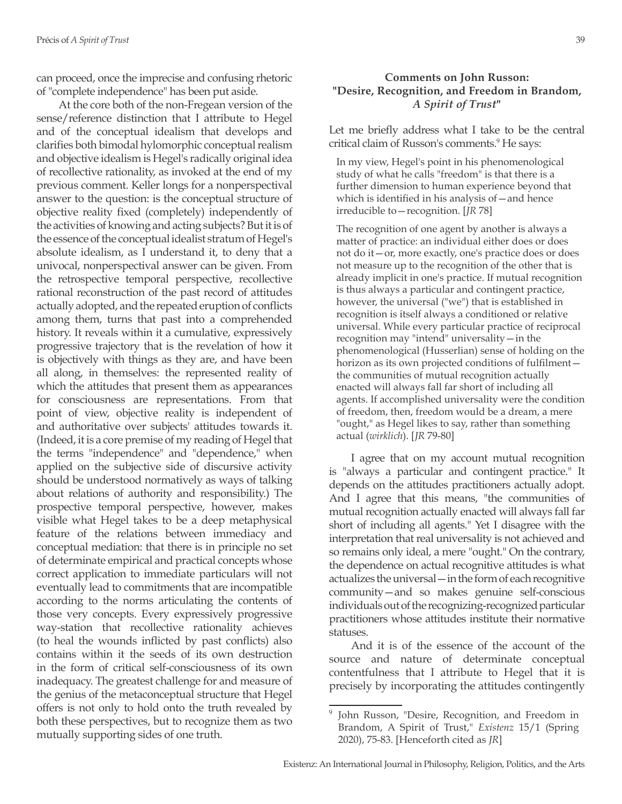can proceed, once the imprecise and confusing rhetoric of "complete independence" has been put aside.

At the core both of the non-Fregean version of the sense/reference distinction that I attribute to Hegel and of the conceptual idealism that develops and clarifies both bimodal hylomorphic conceptual realism and objective idealism is Hegel's radically original idea of recollective rationality, as invoked at the end of my previous comment. Keller longs for a nonperspectival answer to the question: is the conceptual structure of objective reality fixed (completely) independently of the activities of knowing and acting subjects? But it is of the essence of the conceptual idealist stratum of Hegel's absolute idealism, as I understand it, to deny that a univocal, nonperspectival answer can be given. From the retrospective temporal perspective, recollective rational reconstruction of the past record of attitudes actually adopted, and the repeated eruption of conflicts among them, turns that past into a comprehended history. It reveals within it a cumulative, expressively progressive trajectory that is the revelation of how it is objectively with things as they are, and have been all along, in themselves: the represented reality of which the attitudes that present them as appearances for consciousness are representations. From that point of view, objective reality is independent of and authoritative over subjects' attitudes towards it. (Indeed, it is a core premise of my reading of Hegel that the terms "independence" and "dependence," when applied on the subjective side of discursive activity should be understood normatively as ways of talking about relations of authority and responsibility.) The prospective temporal perspective, however, makes visible what Hegel takes to be a deep metaphysical feature of the relations between immediacy and conceptual mediation: that there is in principle no set of determinate empirical and practical concepts whose correct application to immediate particulars will not eventually lead to commitments that are incompatible according to the norms articulating the contents of those very concepts. Every expressively progressive way-station that recollective rationality achieves (to heal the wounds inflicted by past conflicts) also contains within it the seeds of its own destruction in the form of critical self-consciousness of its own inadequacy. The greatest challenge for and measure of the genius of the metaconceptual structure that Hegel offers is not only to hold onto the truth revealed by both these perspectives, but to recognize them as two mutually supporting sides of one truth.

### **Comments on John Russon: "Desire, Recognition, and Freedom in Brandom,**  *A Spirit of Trust***"**

Let me briefly address what I take to be the central critical claim of Russon's comments.<sup>9</sup> He says:

In my view, Hegel's point in his phenomenological study of what he calls "freedom" is that there is a further dimension to human experience beyond that which is identified in his analysis of – and hence irreducible to—recognition. [*JR* 78]

The recognition of one agent by another is always a matter of practice: an individual either does or does not do it—or, more exactly, one's practice does or does not measure up to the recognition of the other that is already implicit in one's practice. If mutual recognition is thus always a particular and contingent practice, however, the universal ("we") that is established in recognition is itself always a conditioned or relative universal. While every particular practice of reciprocal recognition may "intend" universality—in the phenomenological (Husserlian) sense of holding on the horizon as its own projected conditions of fulfilment the communities of mutual recognition actually enacted will always fall far short of including all agents. If accomplished universality were the condition of freedom, then, freedom would be a dream, a mere "ought," as Hegel likes to say, rather than something actual (*wirklich*). [*JR* 79-80]

I agree that on my account mutual recognition is "always a particular and contingent practice." It depends on the attitudes practitioners actually adopt. And I agree that this means, "the communities of mutual recognition actually enacted will always fall far short of including all agents." Yet I disagree with the interpretation that real universality is not achieved and so remains only ideal, a mere "ought." On the contrary, the dependence on actual recognitive attitudes is what actualizes the universal—in the form of each recognitive community—and so makes genuine self-conscious individuals out of the recognizing-recognized particular practitioners whose attitudes institute their normative statuses.

And it is of the essence of the account of the source and nature of determinate conceptual contentfulness that I attribute to Hegel that it is precisely by incorporating the attitudes contingently

<sup>9</sup> John Russon, "Desire, Recognition, and Freedom in Brandom, A Spirit of Trust," *Existenz* 15/1 (Spring 2020), 75-83. [Henceforth cited as *JR*]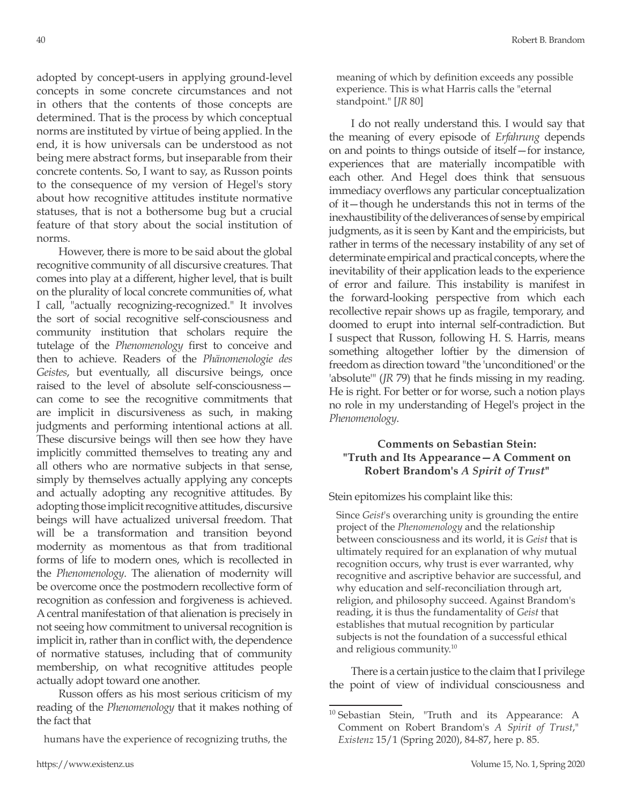adopted by concept-users in applying ground-level concepts in some concrete circumstances and not in others that the contents of those concepts are determined. That is the process by which conceptual norms are instituted by virtue of being applied. In the end, it is how universals can be understood as not being mere abstract forms, but inseparable from their concrete contents. So, I want to say, as Russon points to the consequence of my version of Hegel's story about how recognitive attitudes institute normative statuses, that is not a bothersome bug but a crucial feature of that story about the social institution of norms.

However, there is more to be said about the global recognitive community of all discursive creatures. That comes into play at a different, higher level, that is built on the plurality of local concrete communities of, what I call, "actually recognizing-recognized." It involves the sort of social recognitive self-consciousness and community institution that scholars require the tutelage of the *Phenomenology* first to conceive and then to achieve. Readers of the *Phänomenologie des Geistes*, but eventually, all discursive beings, once raised to the level of absolute self-consciousness can come to see the recognitive commitments that are implicit in discursiveness as such, in making judgments and performing intentional actions at all. These discursive beings will then see how they have implicitly committed themselves to treating any and all others who are normative subjects in that sense, simply by themselves actually applying any concepts and actually adopting any recognitive attitudes. By adopting those implicit recognitive attitudes, discursive beings will have actualized universal freedom. That will be a transformation and transition beyond modernity as momentous as that from traditional forms of life to modern ones, which is recollected in the *Phenomenology*. The alienation of modernity will be overcome once the postmodern recollective form of recognition as confession and forgiveness is achieved. A central manifestation of that alienation is precisely in not seeing how commitment to universal recognition is implicit in, rather than in conflict with, the dependence of normative statuses, including that of community membership, on what recognitive attitudes people actually adopt toward one another.

Russon offers as his most serious criticism of my reading of the *Phenomenology* that it makes nothing of the fact that

humans have the experience of recognizing truths, the

meaning of which by definition exceeds any possible experience. This is what Harris calls the "eternal standpoint." [*JR* 80]

I do not really understand this. I would say that the meaning of every episode of *Erfahrung* depends on and points to things outside of itself—for instance, experiences that are materially incompatible with each other. And Hegel does think that sensuous immediacy overflows any particular conceptualization of it—though he understands this not in terms of the inexhaustibility of the deliverances of sense by empirical judgments, as it is seen by Kant and the empiricists, but rather in terms of the necessary instability of any set of determinate empirical and practical concepts, where the inevitability of their application leads to the experience of error and failure. This instability is manifest in the forward-looking perspective from which each recollective repair shows up as fragile, temporary, and doomed to erupt into internal self-contradiction. But I suspect that Russon, following H. S. Harris, means something altogether loftier by the dimension of freedom as direction toward "the 'unconditioned' or the 'absolute'" (*JR* 79) that he finds missing in my reading. He is right. For better or for worse, such a notion plays no role in my understanding of Hegel's project in the *Phenomenology*.

## **Comments on Sebastian Stein: "Truth and Its Appearance—A Comment on Robert Brandom's** *A Spirit of Trust***"**

Stein epitomizes his complaint like this:

Since *Geist*'s overarching unity is grounding the entire project of the *Phenomenology* and the relationship between consciousness and its world, it is *Geist* that is ultimately required for an explanation of why mutual recognition occurs, why trust is ever warranted, why recognitive and ascriptive behavior are successful, and why education and self-reconciliation through art, religion, and philosophy succeed. Against Brandom's reading, it is thus the fundamentality of *Geist* that establishes that mutual recognition by particular subjects is not the foundation of a successful ethical and religious community.10

There is a certain justice to the claim that I privilege the point of view of individual consciousness and

<sup>&</sup>lt;sup>10</sup> Sebastian Stein, "Truth and its Appearance: A Comment on Robert Brandom's *A Spirit of Trust*," *Existenz* 15/1 (Spring 2020), 84-87, here p. 85.